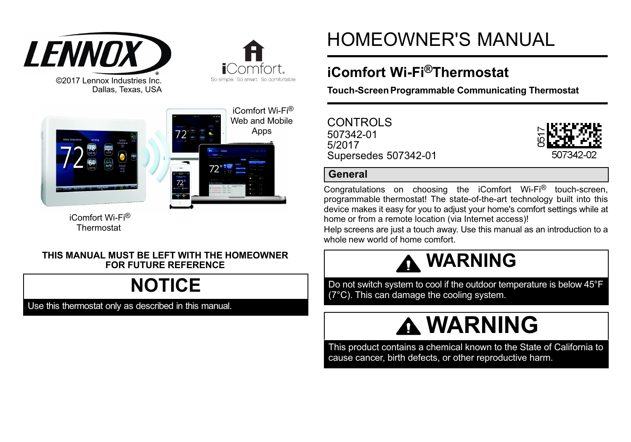





**i**Comfort. So simple. So smart. So comfortable.

 iComfort Wi-Fi® Thermostat

#### **THIS MANUAL MUST BE LEFT WITH THE HOMEOWNER FOR FUTURE REFERENCE**

# **NOTICE**

Use this thermostat only as described in this manual.

# HOMEOWNER'S MANUAL

# **iComfort Wi-Fi®Thermostat**

**Touch-Screen Programmable Communicating Thermostat**

| CONTROLS             |
|----------------------|
| 507342-01            |
| 5/2017               |
| Supersedes 507342-01 |



# **General**

Congratulations on choosing the iComfort Wi-Fi® touch-screen, programmable thermostat! The state-of-the-art technology built into this device makes it easy for you to adjust your home's comfort settings while at home or from a remote location (via Internet access)!

Help screens are just a touch away. Use this manual as an introduction to a whole new world of home comfort.



Do not switch system to cool if the outdoor temperature is below 45°F (7°C). This can damage the cooling system.

# **WARNING**

This product contains a chemical known to the State of California to cause cancer, birth defects, or other reproductive harm.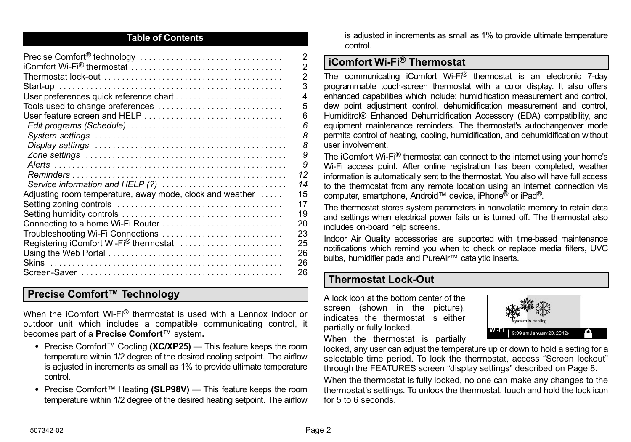#### **Table of Contents**

|                                                          | $\overline{2}$          |
|----------------------------------------------------------|-------------------------|
|                                                          | $\overline{2}$          |
|                                                          | $\overline{2}$          |
|                                                          | 3                       |
| User preferences quick reference chart                   | $\overline{\mathbf{A}}$ |
| Tools used to change preferences                         | 5                       |
| User feature screen and HELP                             | 6                       |
|                                                          | ĥ                       |
|                                                          | 8                       |
|                                                          | 8                       |
|                                                          | 9                       |
|                                                          | 9                       |
|                                                          | 12                      |
| Service information and HELP (?)                         | 14                      |
| Adjusting room temperature, away mode, clock and weather | 15                      |
|                                                          | 17                      |
|                                                          | 19                      |
| Connecting to a home Wi-Fi Router                        | 20                      |
| Troubleshooting Wi-Fi Connections                        | 23                      |
| Registering iComfort Wi-Fi® thermostat                   | 25                      |
|                                                          | 26                      |
|                                                          | 26                      |
|                                                          | 26                      |

# **Precise Comfort™ Technology**

When the iComfort Wi-Fi® thermostat is used with a Lennox indoor or outdoor unit which includes a compatible communicating control, it becomes part of a **Precise Comfort**™ system**.**

- Precise Comfort™ Cooling **(XC/XP25)**  This feature keeps the room temperature within 1/2 degree of the desired cooling setpoint. The airflow is adjusted in increments as small as 1% to provide ultimate temperature control.
- Precise Comfort™ Heating **(SLP98V)**  This feature keeps the room temperature within 1/2 degree of the desired heating setpoint. The airflow

is adjusted in increments as small as 1% to provide ultimate temperature control.

# **iComfort Wi-Fi® Thermostat**

The communicating iComfort Wi-Fi® thermostat is an electronic 7-day programmable touch-screen thermostat with a color display. It also offers enhanced capabilities which include: humidification measurement and control, dew point adjustment control, dehumidification measurement and control, Humiditrol® Enhanced Dehumidification Accessory (EDA) compatibility, and equipment maintenance reminders. The thermostat's autochangeover mode permits control of heating, cooling, humidification, and dehumidification without user involvement.

The iComfort Wi-Fi® thermostat can connect to the internet using your home's Wi-Fi access point. After online registration has been completed, weather information is automatically sent to the thermostat. You also will have full access to the thermostat from any remote location using an internet connection via computer, smartphone, Android™ device, iPhone® or iPad®.

The thermostat stores system parameters in nonvolatile memory to retain data and settings when electrical power fails or is turned off. The thermostat also includes on‐board help screens.

Indoor Air Quality accessories are supported with time‐based maintenance notifications which remind you when to check or replace media filters, UVC bulbs, humidifier pads and PureAir™ catalytic inserts.

# **Thermostat Lock-Out**

A lock icon at the bottom center of the screen (shown in the picture), indicates the thermostat is either partially or fully locked.



When the thermostat is partially

locked, any user can adjust the temperature up or down to hold a setting for a selectable time period. To lock the thermostat, access "Screen lockout" through the FEATURES screen "display settings" described on [Page 8](#page-7-0).

When the thermostat is fully locked, no one can make any changes to the thermostat's settings. To unlock the thermostat, touch and hold the lock icon for 5 to 6 seconds.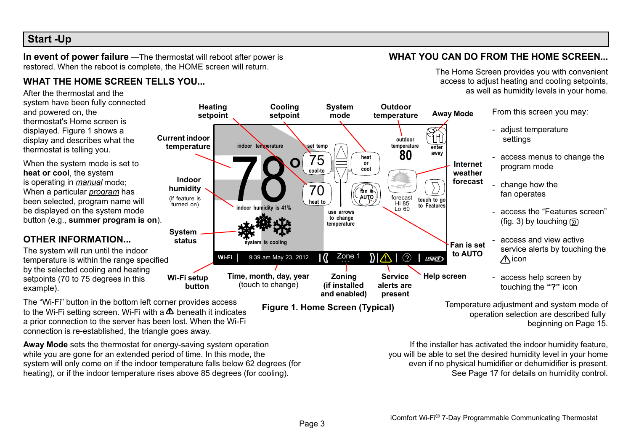# <span id="page-2-0"></span>**Start -Up**

**In event of power failure** —The thermostat will reboot after power is restored. When the reboot is complete, the HOME screen will return.

## **WHAT THE HOME SCREEN TELLS YOU...**

After the thermostat and the system have been fully connected and powered on, the thermostat's Home screen is displayed. Figure 1 shows a display and describes what the thermostat is telling you.

When the system mode is set to **heat or cool**, the system is operating in *manual* mode; When a particular *program* has been selected, program name will be displayed on the system mode button (e.g., **summer program is on**).

## **OTHER INFORMATION...**

The system will run until the indoor temperature is within the range specified by the selected cooling and heating setpoints (70 to 75 degrees in this example). **Wi-Fi setup**

The "Wi-Fi" button in the bottom left corner provides access to the Wi-Fi setting screen. Wi-Fi with a  $\Delta$  beneath it indicates a prior connection to the server has been lost. When the Wi-Fi connection is re-established, the triangle goes away.

**Away Mode** sets the thermostat for energy-saving system operation while you are gone for an extended period of time. In this mode, the system will only come on if the indoor temperature falls below 62 degrees (for heating), or if the indoor temperature rises above 85 degrees (for cooling).

**button**



**Service alerts are present**

- service alerts by touching the  $\triangle$ icon
- access help screen by touching the **"?"** icon

Temperature adjustment and system mode of operation selection are described fully beginning on [Page 15](#page-14-0).

If the installer has activated the indoor humidity feature, you will be able to set the desired humidity level in your home even if no physical humidifier or dehumidifier is present. See [Page 17](#page-16-0) for details on humidity control.

**to AUTO**

**Help screen**

**LENNOX** 

**WHAT YOU CAN DO FROM THE HOME SCREEN...**

# The Home Screen provides you with convenient

access to adjust heating and cooling setpoints,

**Figure 1. Home Screen (Typical)**

Zone 1 **Zoning (if installed and enabled)**

**Wi-Fi** 9:39 am May 23, 2012  $\left|\left(\frac{7}{4}\right)^{2} \right| 2 \cdot \left|\left(\frac{7}{4}\right)^{2} \right| 2 \cdot \left|\left(\frac{7}{4}\right)^{2} \right|$ 

**Time, month, day, year** (touch to change)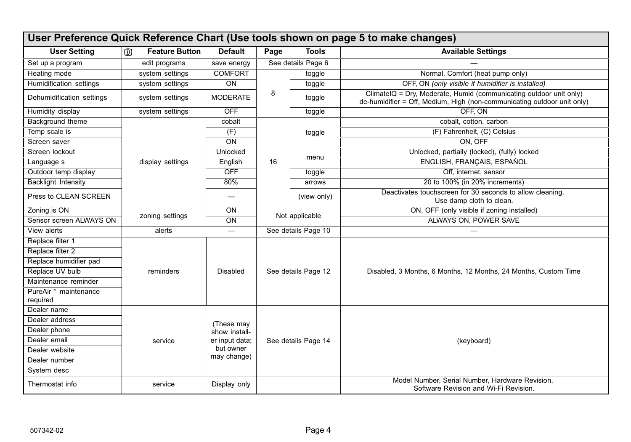<span id="page-3-0"></span>

| User Preference Quick Reference Chart (Use tools shown on page 5 to make changes) |                                       |                          |                       |                     |                                                                                                                                               |  |  |
|-----------------------------------------------------------------------------------|---------------------------------------|--------------------------|-----------------------|---------------------|-----------------------------------------------------------------------------------------------------------------------------------------------|--|--|
| <b>User Setting</b>                                                               | $\mathbb{D}$<br><b>Feature Button</b> | <b>Default</b>           | Page<br><b>Tools</b>  |                     | <b>Available Settings</b>                                                                                                                     |  |  |
| Set up a program                                                                  | edit programs                         | save energy              | See details Page 6    |                     |                                                                                                                                               |  |  |
| Heating mode                                                                      | system settings                       | <b>COMFORT</b>           | toggle                |                     | Normal, Comfort (heat pump only)                                                                                                              |  |  |
| Humidification settings                                                           | system settings                       | ON                       |                       | toggle              | OFF, ON (only visible if humidifier is installed)                                                                                             |  |  |
| Dehumidification settings                                                         | system settings                       | <b>MODERATE</b>          | 8<br>toggle<br>toggle |                     | ClimateIQ = Dry, Moderate, Humid (communicating outdoor unit only)<br>de-humidifier = Off, Medium, High (non-communicating outdoor unit only) |  |  |
| Humidity display                                                                  | system settings                       | OFF                      |                       |                     | OFF. ON                                                                                                                                       |  |  |
| Background theme                                                                  |                                       | cobalt                   |                       |                     | cobalt, cotton, carbon                                                                                                                        |  |  |
| Temp scale is                                                                     |                                       | (F)                      | toggle                |                     | (F) Fahrenheit, (C) Celsius                                                                                                                   |  |  |
| Screen saver                                                                      |                                       | ON                       |                       |                     | ON. OFF                                                                                                                                       |  |  |
| Screen lockout                                                                    |                                       | Unlocked                 |                       |                     | Unlocked, partially (locked), (fully) locked                                                                                                  |  |  |
| Language s                                                                        | display settings                      | English                  | menu<br>16            |                     | ENGLISH, FRANCAIS, ESPAÑOL                                                                                                                    |  |  |
| Outdoor temp display                                                              |                                       | <b>OFF</b>               |                       | toggle              | Off. internet. sensor                                                                                                                         |  |  |
| <b>Backlight Intensity</b>                                                        |                                       | 80%                      |                       | arrows              | 20 to 100% (in 20% increments)                                                                                                                |  |  |
| Press to CLEAN SCREEN                                                             |                                       |                          |                       | (view only)         | Deactivates touchscreen for 30 seconds to allow cleaning.<br>Use damp cloth to clean.                                                         |  |  |
| Zoning is ON                                                                      | zoning settings                       | ON                       | Not applicable        |                     | ON, OFF (only visible if zoning installed)                                                                                                    |  |  |
| Sensor screen ALWAYS ON                                                           |                                       | ON                       |                       |                     | ALWAYS ON. POWER SAVE                                                                                                                         |  |  |
| View alerts                                                                       | alerts                                | $\overline{\phantom{0}}$ | See details Page 10   |                     |                                                                                                                                               |  |  |
| Replace filter 1                                                                  |                                       |                          |                       |                     |                                                                                                                                               |  |  |
| Replace filter 2                                                                  |                                       |                          |                       |                     |                                                                                                                                               |  |  |
| Replace humidifier pad                                                            |                                       |                          |                       |                     |                                                                                                                                               |  |  |
| Replace UV bulb                                                                   | reminders                             | <b>Disabled</b>          |                       | See details Page 12 | Disabled, 3 Months, 6 Months, 12 Months, 24 Months, Custom Time                                                                               |  |  |
| Maintenance reminder                                                              |                                       |                          |                       |                     |                                                                                                                                               |  |  |
| PureAir <sup>™</sup> maintenance<br>required                                      |                                       |                          |                       |                     |                                                                                                                                               |  |  |
| Dealer name                                                                       |                                       |                          |                       |                     |                                                                                                                                               |  |  |
| Dealer address                                                                    |                                       | (These may               |                       |                     |                                                                                                                                               |  |  |
| Dealer phone                                                                      |                                       | show install-            | See details Page 14   |                     |                                                                                                                                               |  |  |
| Dealer email                                                                      | service                               | er input data;           |                       |                     | (keyboard)                                                                                                                                    |  |  |
| Dealer website                                                                    |                                       | but owner                |                       |                     |                                                                                                                                               |  |  |
| Dealer number                                                                     |                                       | may change)              |                       |                     |                                                                                                                                               |  |  |
| System desc                                                                       |                                       |                          |                       |                     |                                                                                                                                               |  |  |
| Thermostat info                                                                   | service                               | Display only             |                       |                     | Model Number, Serial Number, Hardware Revision,<br>Software Revision and Wi-Fi Revision.                                                      |  |  |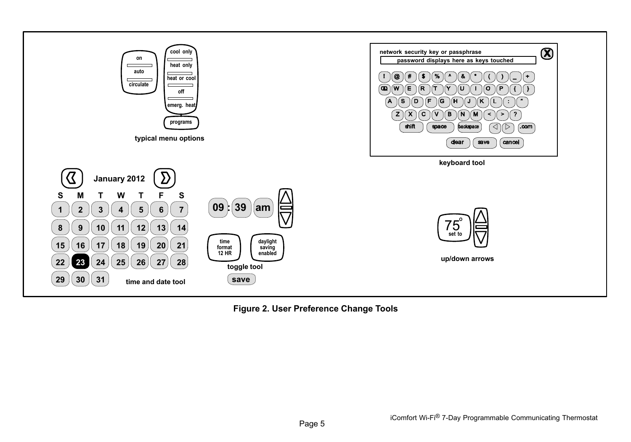<span id="page-4-0"></span>

**Figure 2. User Preference Change Tools**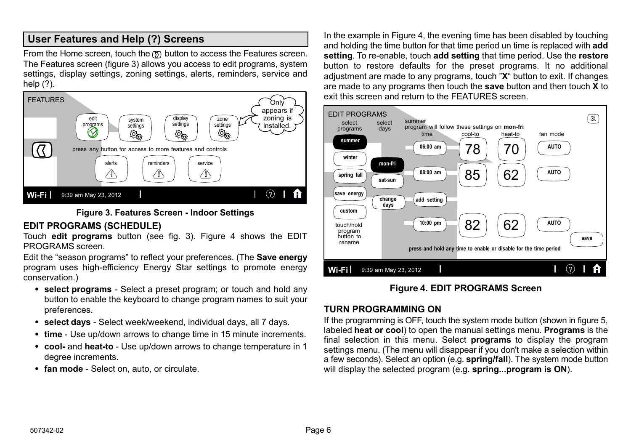# <span id="page-5-0"></span>**User Features and Help (?) Screens**

From the Home screen, touch the  $\overline{D}$  button to access the Features screen. The Features screen (figure 3) allows you access to edit programs, system settings, display settings, zoning settings, alerts, reminders, service and help (?).





#### **EDIT PROGRAMS (SCHEDULE)**

Touch **edit programs** button (see fig. 3). Figure 4 shows the EDIT PROGRAMS screen.

Edit the "season programs" to reflect your preferences. (The **Save energy** program uses high-efficiency Energy Star settings to promote energy conservation.)

- **select programs** Select a preset program; or touch and hold any button to enable the keyboard to change program names to suit your preferences.
- **select days** Select week/weekend, individual days, all 7 days.
- time Use up/down arrows to change time in 15 minute increments.
- **cool-** and **heat-to**  Use up/down arrows to change temperature in 1 degree increments.
- **fan mode**  Select on, auto, or circulate.

In the example in Figure 4, the evening time has been disabled by touching and holding the time button for that time period un time is replaced with **add setting**. To re-enable, touch **add setting** that time period. Use the **restore** button to restore defaults for the preset programs. It no additional adjustment are made to any programs, touch "**X**" button to exit. If changes are made to any programs then touch the **save** button and then touch **X** to exit this screen and return to the FEATURES screen.



#### **Figure 4. EDIT PROGRAMS Screen**

#### **TURN PROGRAMMING ON**

If the programming is OFF, touch the system mode button (shown in figure [5](#page-6-0), labeled **heat or cool**) to open the manual settings menu. **Programs** is the final selection in this menu. Select **programs** to display the program settings menu. (The menu will disappear if you don't make a selection within a few seconds). Select an option (e.g. **spring/fall**). The system mode button will display the selected program (e.g. **spring...program is ON**).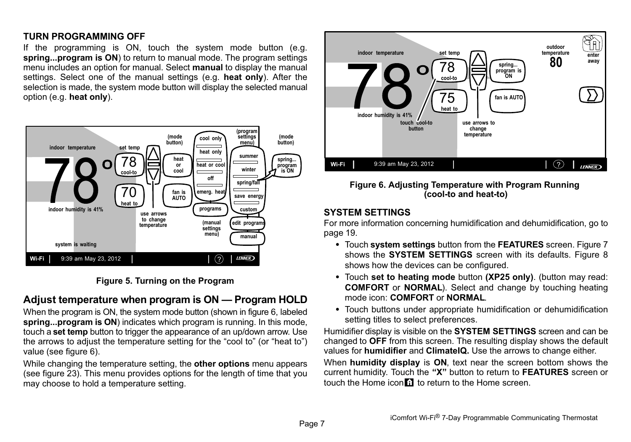#### <span id="page-6-0"></span>**TURN PROGRAMMING OFF**

If the programming is ON, touch the system mode button (e.g. **spring...program is ON**) to return to manual mode. The program settings menu includes an option for manual. Select **manual** to display the manual settings. Select one of the manual settings (e.g. **heat only**). After the selection is made, the system mode button will display the selected manual option (e.g. **heat only**).



**Figure 5. Turning on the Program**

# **Adjust temperature when program is ON — Program HOLD**

When the program is ON, the system mode button (shown in figure 6, labeled **spring...program is ON**) indicates which program is running. In this mode, touch a **set temp** button to trigger the appearance of an up/down arrow. Use the arrows to adjust the temperature setting for the "cool to" (or "heat to") value (see figure 6).

While changing the temperature setting, the **other options** menu appears (see figure [23](#page-14-0)). This menu provides options for the length of time that you may choose to hold a temperature setting.



#### **Figure 6. Adjusting Temperature with Program Running (cool-to and heat-to)**

#### **SYSTEM SETTINGS**

For more information concerning humidification and dehumidification, go to page [19.](#page-18-0)

- Touch **system settings** button from the **FEATURES** screen. Figure [7](#page-7-0) shows the **SYSTEM SETTINGS** screen with its defaults. Figure [8](#page-7-0) shows how the devices can be configured.
- Touch **set to heating mode** button **(XP25 only)**. (button may read: **COMFORT** or **NORMAL**). Select and change by touching heating mode icon: **COMFORT** or **NORMAL**.
- Touch buttons under appropriate humidification or dehumidification setting titles to select preferences.

Humidifier display is visible on the **SYSTEM SETTINGS** screen and can be changed to **OFF** from this screen. The resulting display shows the default values for **humidifier** and **ClimateIQ.** Use the arrows to change either.

When **humidity display** is **ON**, text near the screen bottom shows the current humidity. Touch the **"X"** button to return to **FEATURES** screen or touch the Home icon in to return to the Home screen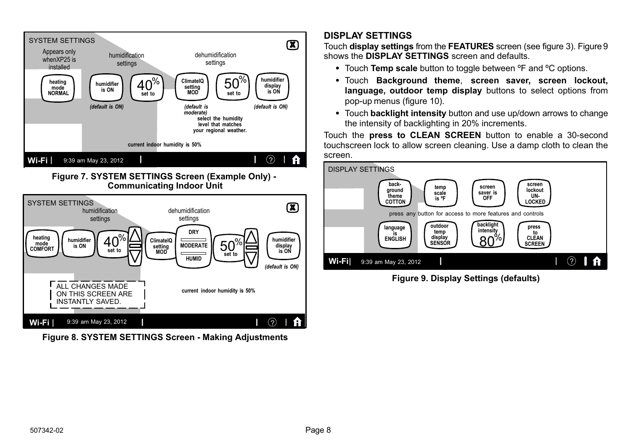<span id="page-7-0"></span>

**Figure 7. SYSTEM SETTINGS Screen (Example Only) - Communicating Indoor Unit**



**Figure 8. SYSTEM SETTINGS Screen - Making Adjustments**

# **DISPLAY SETTINGS**

Touch **display settings** from the **FEATURES** screen (see figure [3](#page-5-0)). Figure 9 shows the **DISPLAY SETTINGS** screen and defaults.

- Touch **Temp scale** button to toggle between ºF and ºC options.
- Touch **Background theme**, **screen saver, screen lockout, language, outdoor temp display** buttons to select options from pop-up menus (figure [10\)](#page-8-0).
- Touch **backlight intensity** button and use up/down arrows to change the intensity of backlighting in 20% increments.

Touch the **press to CLEAN SCREEN** button to enable a 30-second touchscreen lock to allow screen cleaning. Use a damp cloth to clean the screen.



**Figure 9. Display Settings (defaults)**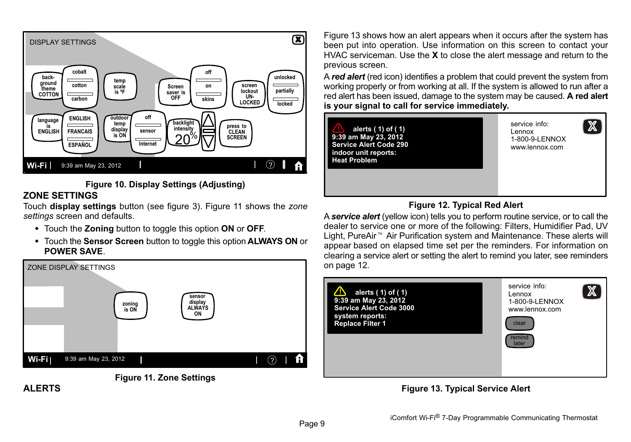<span id="page-8-0"></span>

#### **Figure 10. Display Settings (Adjusting)**

# **ZONE SETTINGS**

Touch **display settings** button (see figure [3\)](#page-5-0). Figure 11 shows the *zone settings* screen and defaults.

- Touch the **Zoning** button to toggle this option **ON** or **OFF**.
- Touch the **Sensor Screen** button to toggle this option **ALWAYS ON** or **POWER SAVE**.





Figure 13 shows how an alert appears when it occurs after the system has been put into operation. Use information on this screen to contact your HVAC serviceman. Use the **X** to close the alert message and return to the previous screen.

A *red alert* (red icon) identifies a problem that could prevent the system from working properly or from working at all. If the system is allowed to run after a red alert has been issued, damage to the system may be caused. **A red alert is your signal to call for service immediately.**

**alerts ( 1) of ( 1) 9:39 am May 23, 2012 Service Alert Code 290 indoor unit reports: Heat Problem**

service info: Lennox 1-800-9-LENNOX www.lennox.com

 $\mathbb X$ 

# **Figure 12. Typical Red Alert**

A *service alert* (yellow icon) tells you to perform routine service, or to call the A **service aiert** (yellow icon) tells you to perform routine service, or to call the<br>dealer to service one or more of the following: Filters, Humidifier Pad, UV<br>Light, PureAir™ Air Purification system and Maintenance. The Light, PureAir<sup>™</sup> Air Purification system and Maintenance. These alerts will appear based on elapsed time set per the reminders. For information on clearing a service alert or setting the alert to remind you later, see reminders on page [12](#page-11-0).



## **Figure 13. Typical Service Alert**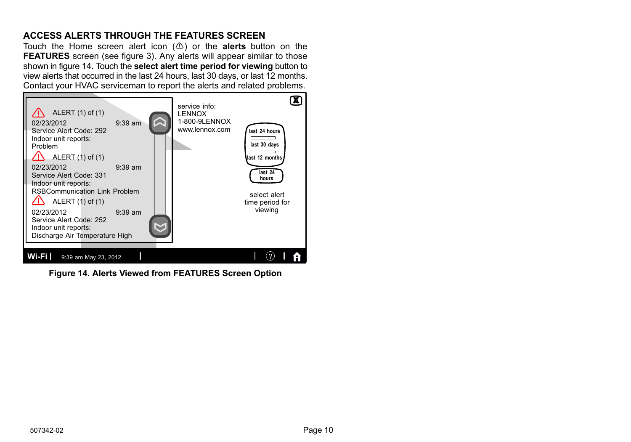# <span id="page-9-0"></span>**ACCESS ALERTS THROUGH THE FEATURES SCREEN**

Touch the Home screen alert icon  $(\triangle)$  or the **alerts** button on the **FEATURES** screen (see figure [3](#page-5-0)). Any alerts will appear similar to those shown in figure 14. Touch the **select alert time period for viewing** button to view alerts that occurred in the last 24 hours, last 30 days, or last 12 months. Contact your HVAC serviceman to report the alerts and related problems.



**Figure 14. Alerts Viewed from FEATURES Screen Option**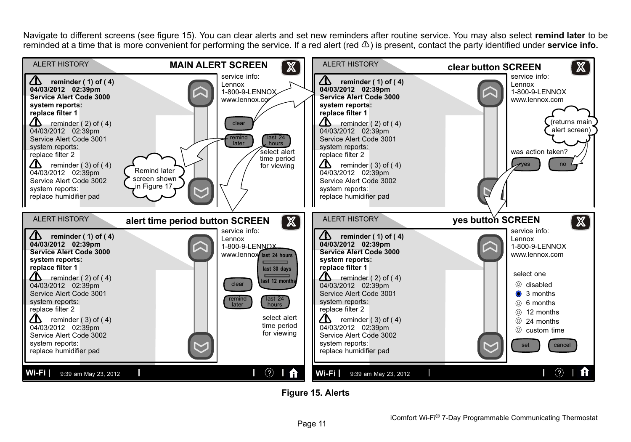Navigate to different screens (see figure 15). You can clear alerts and set new reminders after routine service. You may also select **remind later** to be reminded at a time that is more convenient for performing the service. If a red alert (red  $\triangle$ ) is present, contact the party identified under **service info.** 



**Figure 15. Alerts**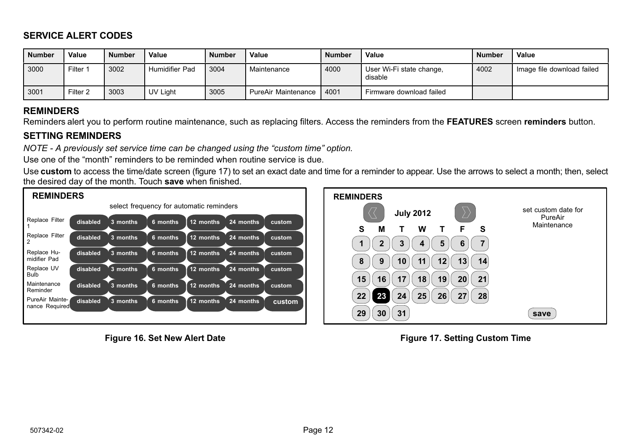# <span id="page-11-0"></span>**SERVICE ALERT CODES**

| <b>Number</b> | Value    | <b>Number</b> | Value          | <b>Number</b> | Value               | <b>Number</b> | Value                               | <b>Number</b> | Value                      |
|---------------|----------|---------------|----------------|---------------|---------------------|---------------|-------------------------------------|---------------|----------------------------|
| 3000          | Filter 1 | 3002          | Humidifier Pad | 3004          | Maintenance         | 4000          | User Wi-Fi state change,<br>disable | 4002          | Image file download failed |
| 3001          | Filter 2 | 3003          | UV Light       | 3005          | PureAir Maintenance | 4001          | Firmware download failed            |               |                            |

### **REMINDERS**

Reminders alert you to perform routine maintenance, such as replacing filters. Access the reminders from the **FEATURES** screen **reminders** button.

## **SETTING REMINDERS**

*NOTE - A previously set service time can be changed using the "custom time" option.*

Use one of the "month" reminders to be reminded when routine service is due.

Use **custom** to access the time/date screen (figure 17) to set an exact date and time for a reminder to appear. Use the arrows to select a month; then, select the desired day of the month. Touch **save** when finished.



**Figure 16. Set New Alert Date**



**Figure 17. Setting Custom Time**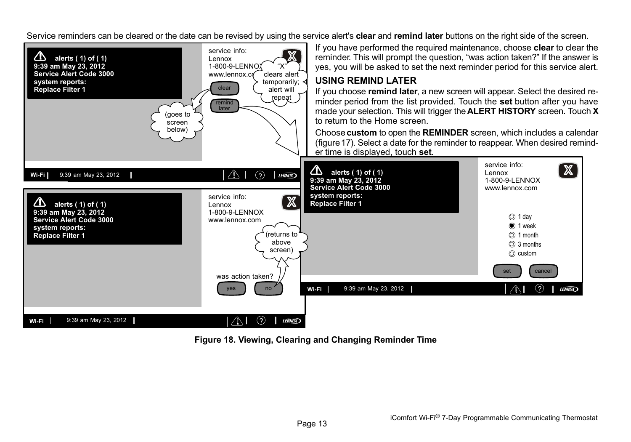Service reminders can be cleared or the date can be revised by using the service alert's **clear** and **remind later** buttons on the right side of the screen.



**Figure 18. Viewing, Clearing and Changing Reminder Time**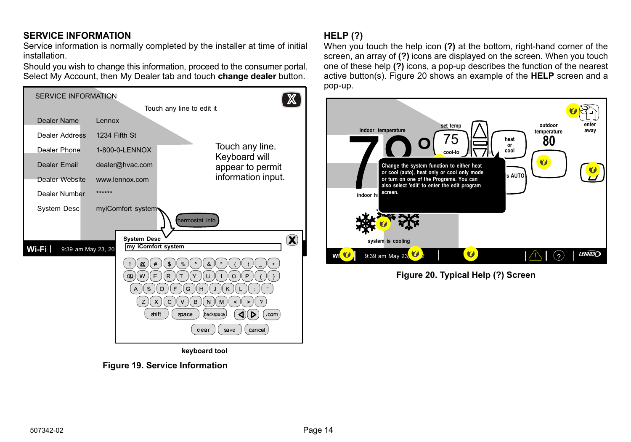# <span id="page-13-0"></span>**SERVICE INFORMATION**

Service information is normally completed by the installer at time of initial installation.

Should you wish to change this information, proceed to the consumer portal. Select My Account, then My Dealer tab and touch **change dealer** button.



**Figure 19. Service Information**

# **HELP (?)**

When you touch the help icon **(?)** at the bottom, right-hand corner of the screen, an array of **(?)** icons are displayed on the screen. When you touch one of these help **(?)** icons, a pop-up describes the function of the nearest active button(s). Figure 20 shows an example of the **HELP** screen and a pop-up.



**Figure 20. Typical Help (?) Screen**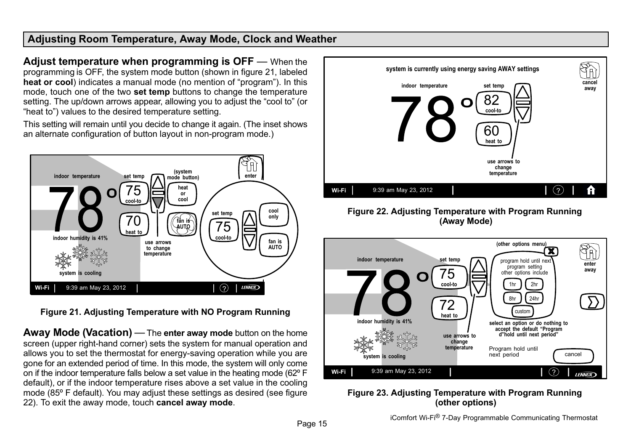# <span id="page-14-0"></span>**Adjusting Room Temperature, Away Mode, Clock and Weather**

**Adjust temperature when programming is OFF** — When the programming is OFF, the system mode button (shown in figure 21, labeled **heat or cool**) indicates a manual mode (no mention of "program"). In this mode, touch one of the two **set temp** buttons to change the temperature setting. The up/down arrows appear, allowing you to adjust the "cool to" (or "heat to") values to the desired temperature setting.

This setting will remain until you decide to change it again. (The inset shows an alternate configuration of button layout in non-program mode.)



**Figure 21. Adjusting Temperature with NO Program Running**

**Away Mode (Vacation)** — The **enter away mode** button on the home screen (upper right-hand corner) sets the system for manual operation and allows you to set the thermostat for energy-saving operation while you are gone for an extended period of time. In this mode, the system will only come on if the indoor temperature falls below a set value in the heating mode (62º F default), or if the indoor temperature rises above a set value in the cooling mode (85º F default). You may adjust these settings as desired (see figure 22). To exit the away mode, touch **cancel away mode**.



#### **Figure 22. Adjusting Temperature with Program Running (Away Mode)**



#### **Figure 23. Adjusting Temperature with Program Running (other options)**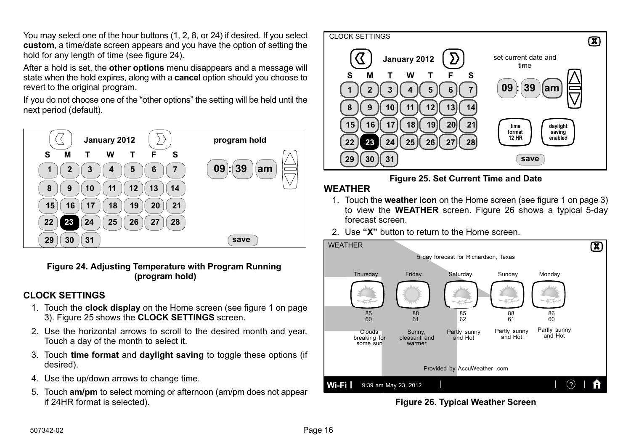<span id="page-15-0"></span>You may select one of the hour buttons (1, 2, 8, or 24) if desired. If you select **custom**, a time/date screen appears and you have the option of setting the hold for any length of time (see figure 24).

After a hold is set, the **other options** menu disappears and a message will state when the hold expires, along with a **cancel** option should you choose to revert to the original program.

If you do not choose one of the "other options" the setting will be held until the next period (default).



#### **Figure 24. Adjusting Temperature with Program Running (program hold)**

## **CLOCK SETTINGS**

- 1. Touch the **clock display** on the Home screen (see figure [1](#page-2-0) on page [3](#page-2-0)). Figure 25 shows the **CLOCK SETTINGS** screen.
- 2. Use the horizontal arrows to scroll to the desired month and year. Touch a day of the month to select it.
- 3. Touch **time format** and **daylight saving** to toggle these options (if desired).
- 4. Use the up/down arrows to change time.
- 5. Touch **am/pm** to select morning or afternoon (am/pm does not appear if 24HR format is selected).



# **Figure 25. Set Current Time and Date**

## **WEATHER**

- 1. Touch the **weather icon** on the Home screen (see figure [1](#page-2-0) on page [3\)](#page-2-0) to view the **WEATHER** screen. Figure 26 shows a typical 5-day forecast screen.
- 2. Use **"X"** button to return to the Home screen.



**Figure 26. Typical Weather Screen**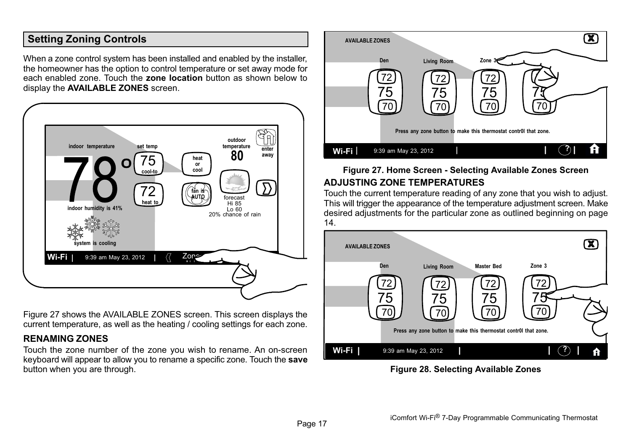# <span id="page-16-0"></span>**Setting Zoning Controls**

When a zone control system has been installed and enabled by the installer. the homeowner has the option to control temperature or set away mode for each enabled zone. Touch the **zone location** button as shown below to display the **AVAILABLE ZONES** screen.



Figure 27 shows the AVAILABLE ZONES screen. This screen displays the current temperature, as well as the heating / cooling settings for each zone.

#### **RENAMING ZONES**

Touch the zone number of the zone you wish to rename. An on-screen keyboard will appear to allow you to rename a specific zone. Touch the **save** button when you are through.



# **Figure 27. Home Screen - Selecting Available Zones Screen ADJUSTING ZONE TEMPERATURES**

Touch the current temperature reading of any zone that you wish to adjust. This will trigger the appearance of the temperature adjustment screen. Make desired adjustments for the particular zone as outlined beginning on page 14.



**Figure 28. Selecting Available Zones**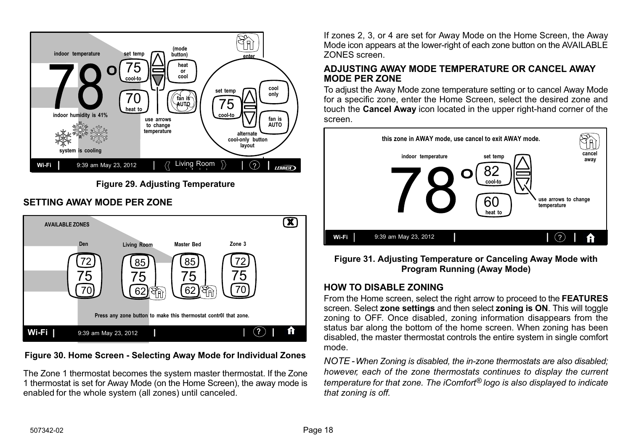

**Figure 29. Adjusting Temperature**

# **SETTING AWAY MODE PER ZONE**



**Figure 30. Home Screen - Selecting Away Mode for Individual Zones**

The Zone 1 thermostat becomes the system master thermostat. If the Zone 1 thermostat is set for Away Mode (on the Home Screen), the away mode is enabled for the whole system (all zones) until canceled.

If zones 2, 3, or 4 are set for Away Mode on the Home Screen, the Away Mode icon appears at the lower-right of each zone button on the AVAILABLE ZONES screen.

#### **ADJUSTING AWAY MODE TEMPERATURE OR CANCEL AWAY MODE PER ZONE**

To adjust the Away Mode zone temperature setting or to cancel Away Mode for a specific zone, enter the Home Screen, select the desired zone and touch the **Cancel Away** icon located in the upper right-hand corner of the screen.



**Figure 31. Adjusting Temperature or Canceling Away Mode with Program Running (Away Mode)**

# **HOW TO DISABLE ZONING**

From the Home screen, select the right arrow to proceed to the **FEATURES** screen. Select **zone settings** and then select **zoning is ON**. This will toggle zoning to OFF. Once disabled, zoning information disappears from the status bar along the bottom of the home screen. When zoning has been disabled, the master thermostat controls the entire system in single comfort mode.

*NOTE - When Zoning is disabled, the in-zone thermostats are also disabled; however, each of the zone thermostats continues to display the current temperature for that zone. The iComfort® logo is also displayed to indicate that zoning is off.*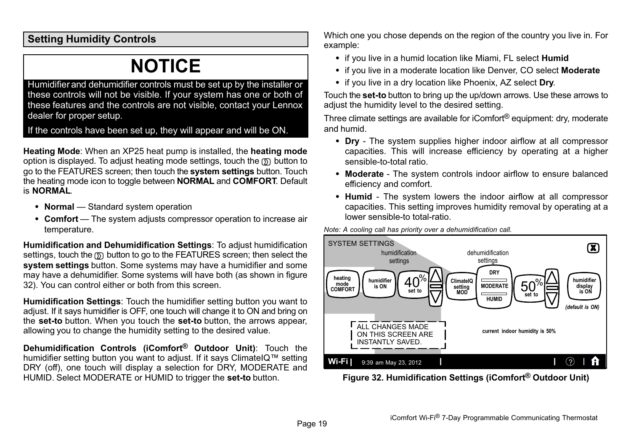<span id="page-18-0"></span>**Setting Humidity Controls**

# **NOTICE**

Humidifier and dehumidifier controls must be set up by the installer or these controls will not be visible. If your system has one or both of these features and the controls are not visible, contact your Lennox dealer for proper setup.

If the controls have been set up, they will appear and will be ON.

**Heating Mode**: When an XP25 heat pump is installed, the **heating mode** option is displayed. To adjust heating mode settings, touch the  $\mathcal{D}$  button to go to the FEATURES screen; then touch the **system settings** button. Touch the heating mode icon to toggle between **NORMAL** and **COMFORT**. Default is **NORMAL**.

- **Normal** Standard system operation
- **Comfort** The system adjusts compressor operation to increase air temperature.

**Humidification and Dehumidification Settings**: To adjust humidification settings, touch the  $\mathfrak D$  button to go to the FEATURES screen; then select the **system settings** button. Some systems may have a humidifier and some may have a dehumidifier. Some systems will have both (as shown in figure 32). You can control either or both from this screen.

**Humidification Settings**: Touch the humidifier setting button you want to adjust. If it says humidifier is OFF, one touch will change it to ON and bring on the **set-to** button. When you touch the **set-to** button, the arrows appear, allowing you to change the humidity setting to the desired value.

**Dehumidification Controls (iComfort® Outdoor Unit)**: Touch the humidifier setting button you want to adjust. If it says ClimateIQ<sup> $m$ </sup> setting DRY (off), one touch will display a selection for DRY, MODERATE and HUMID. Select MODERATE or HUMID to trigger the **set-to** button.

Which one you chose depends on the region of the country you live in. For example:

- if you live in a humid location like Miami, FL select **Humid**
- if you live in a moderate location like Denver, CO select **Moderate**
- if you live in a dry location like Phoenix, AZ select **Dry**.

Touch the **set-to** button to bring up the up/down arrows. Use these arrows to adjust the humidity level to the desired setting.

Three climate settings are available for iComfort® equipment: dry, moderate and humid.

- Dry The system supplies higher indoor airflow at all compressor capacities. This will increase efficiency by operating at a higher sensible-to-total ratio.
- Moderate The system controls indoor airflow to ensure balanced efficiency and comfort.
- Humid The system lowers the indoor airflow at all compressor capacities. This setting improves humidity removal by operating at a lower sensible-to total-ratio.





**Figure 32. Humidification Settings (iComfort® Outdoor Unit)**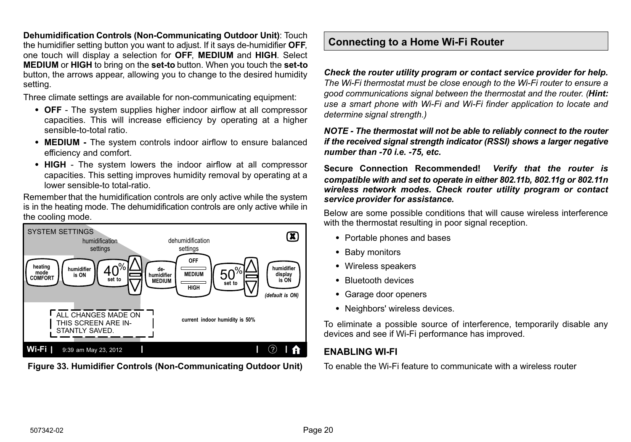<span id="page-19-0"></span>**Dehumidification Controls (Non-Communicating Outdoor Unit)**: Touch the humidifier setting button you want to adjust. If it says de-humidifier **OFF**, one touch will display a selection for **OFF**, **MEDIUM** and **HIGH**. Select **MEDIUM** or **HIGH** to bring on the **set-to** button. When you touch the **set-to** button, the arrows appear, allowing you to change to the desired humidity setting.

Three climate settings are available for non-communicating equipment:

- OFF The system supplies higher indoor airflow at all compressor capacities. This will increase efficiency by operating at a higher sensible-to-total ratio.
- **MEDIUM** The system controls indoor airflow to ensure balanced efficiency and comfort.
- HIGH The system lowers the indoor airflow at all compressor capacities. This setting improves humidity removal by operating at a lower sensible-to total-ratio.

Remember that the humidification controls are only active while the system is in the heating mode. The dehumidification controls are only active while in the cooling mode.



**Figure 33. Humidifier Controls (Non-Communicating Outdoor Unit)**

# **Connecting to a Home Wi-Fi Router**

*Check the router utility program or contact service provider for help. The Wi-Fi thermostat must be close enough to the Wi-Fi router to ensure a good communications signal between the thermostat and the router. (Hint: use a smart phone with Wi-Fi and Wi-Fi finder application to locate and determine signal strength.)*

*NOTE - The thermostat will not be able to reliably connect to the router if the received signal strength indicator (RSSI) shows a larger negative number than 70 i.e. 75, etc.*

**Secure Connection Recommended!** *Verify that the router is compatible with and set to operate in either 802.11b, 802.11g or 802.11n wireless network modes. Check router utility program or contact service provider for assistance.*

Below are some possible conditions that will cause wireless interference with the thermostat resulting in poor signal reception.

- Portable phones and bases
- Baby monitors
- Wireless speakers
- Bluetooth devices
- Garage door openers
- Neighbors' wireless devices.

To eliminate a possible source of interference, temporarily disable any devices and see if Wi-Fi performance has improved.

# **ENABLING WI-FI**

To enable the Wi-Fi feature to communicate with a wireless router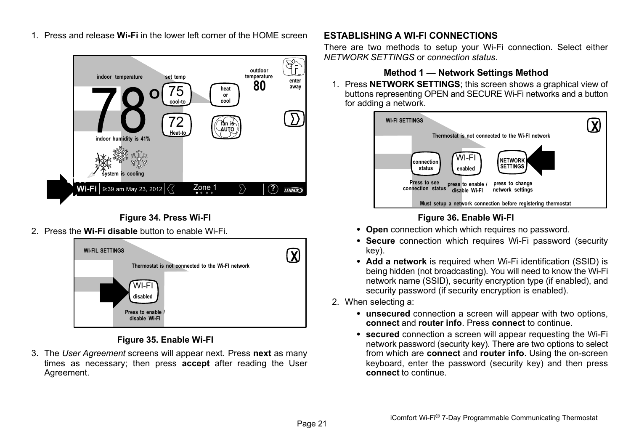

1. Press and release **Wi-Fi** in the lower left corner of the HOME screen

# **Figure 34. Press Wi-FI**

2. Press the **Wi-Fi disable** button to enable Wi-Fi.



#### **Figure 35. Enable Wi-FI**

3. The *User Agreement* screens will appear next. Press **next** as many times as necessary; then press **accept** after reading the User Agreement.

#### **ESTABLISHING A WI-FI CONNECTIONS**

There are two methods to setup your Wi-Fi connection. Select either *NETWORK SETTINGS* or *connection status*.

#### **Method 1 — Network Settings Method**

1. Press **NETWORK SETTINGS**; this screen shows a graphical view of buttons representing OPEN and SECURE Wi-Fi networks and a button for adding a network.



# **Figure 36. Enable Wi-FI**

- **Open** connection which which requires no password.
- **Secure** connection which requires Wi-Fi password (security key).
- Add a network is required when Wi-Fi identification (SSID) is being hidden (not broadcasting). You will need to know the Wi-Fi network name (SSID), security encryption type (if enabled), and security password (if security encryption is enabled).
- 2. When selecting a:
	- **unsecured** connection a screen will appear with two options, **connect** and **router info**. Press **connect** to continue.
	- **secured** connection a screen will appear requesting the Wi-Fi network password (security key). There are two options to select from which are **connect** and **router info**. Using the on-screen keyboard, enter the password (security key) and then press **connect** to continue.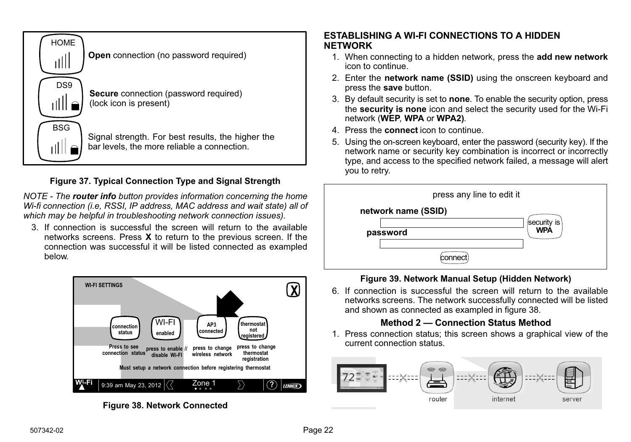

# **Figure 37. Typical Connection Type and Signal Strength**

*NOTE - The router info button provides information concerning the home Wi-fi connection (i.e, RSSI, IP address, MAC address and wait state) all of which may be helpful in troubleshooting network connection issues).*

3. If connection is successful the screen will return to the available networks screens. Press **X** to return to the previous screen. If the connection was successful it will be listed connected as exampled below.



**Figure 38. Network Connected**

# **ESTABLISHING A WI-FI CONNECTIONS TO A HIDDEN NETWORK**

- 1. When connecting to a hidden network, press the **add new network** icon to continue.
- 2. Enter the **network name (SSID)** using the onscreen keyboard and press the **save** button.
- 3. By default security is set to **none**. To enable the security option, press the **security is none** icon and select the security used for the Wi-Fi network (**WEP**, **WPA** or **WPA2)**.
- 4. Press the **connect** icon to continue.
- 5. Using the on-screen keyboard, enter the password (security key). If the network name or security key combination is incorrect or incorrectly type, and access to the specified network failed, a message will alert you to retry.



## **Figure 39. Network Manual Setup (Hidden Network)**

6. If connection is successful the screen will return to the available networks screens. The network successfully connected will be listed and shown as connected as exampled in figure 38.

## **Method 2 — Connection Status Method**

1. Press connection status; this screen shows a graphical view of the current connection status.

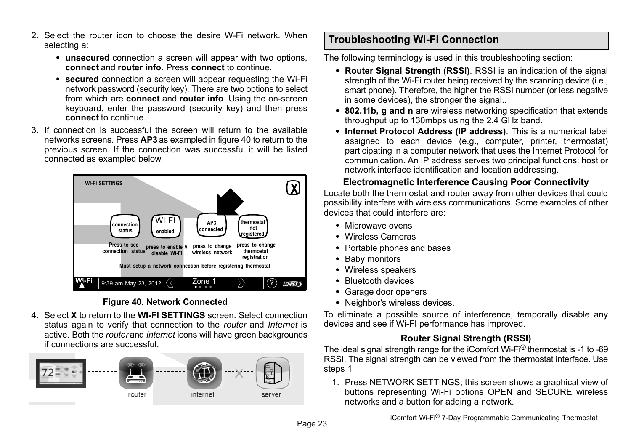- <span id="page-22-0"></span>2. Select the router icon to choose the desire W-Fi network. When selecting a:
	- **unsecured** connection a screen will appear with two options, **connect** and **router info**. Press **connect** to continue.
	- **secured** connection a screen will appear requesting the Wi-Fi network password (security key). There are two options to select from which are **connect** and **router info**. Using the on-screen keyboard, enter the password (security key) and then press **connect** to continue.
- 3. If connection is successful the screen will return to the available networks screens. Press **AP3** as exampled in figure 40 to return to the previous screen. If the connection was successful it will be listed connected as exampled below.



#### **Figure 40. Network Connected**

4. Select **X** to return to the **WI-FI SETTINGS** screen. Select connection status again to verify that connection to the *router* and *Internet* is active. Both the *router* and *Internet* icons will have green backgrounds if connections are successful.



# **Troubleshooting Wi-Fi Connection**

The following terminology is used in this troubleshooting section:

- **Router Signal Strength (RSSI)**. RSSI is an indication of the signal strength of the Wi-Fi router being received by the scanning device (i.e., smart phone). Therefore, the higher the RSSI number (or less negative in some devices), the stronger the signal..
- **802.11b, g and n** are wireless networking specification that extends throughput up to 130mbps using the 2.4 GHz band.
- **Internet Protocol Address (IP address)**. This is a numerical label assigned to each device (e.g., computer, printer, thermostat) participating in a computer network that uses the Internet Protocol for communication. An IP address serves two principal functions: host or network interface identification and location addressing.

#### **Electromagnetic Interference Causing Poor Connectivity**

Locate both the thermostat and router away from other devices that could possibility interfere with wireless communications. Some examples of other devices that could interfere are:

- Microwave ovens
- Wireless Cameras
- Portable phones and bases
- Baby monitors
- Wireless speakers
- Bluetooth devices
- Garage door openers
- · Neighbor's wireless devices.

To eliminate a possible source of interference, temporally disable any devices and see if Wi-FI performance has improved.

## **Router Signal Strength (RSSI)**

The ideal signal strength range for the iComfort Wi-Fi® thermostat is -1 to -69 RSSI. The signal strength can be viewed from the thermostat interface. Use steps 1

1. Press NETWORK SETTINGS; this screen shows a graphical view of buttons representing Wi-Fi options OPEN and SECURE wireless networks and a button for adding a network.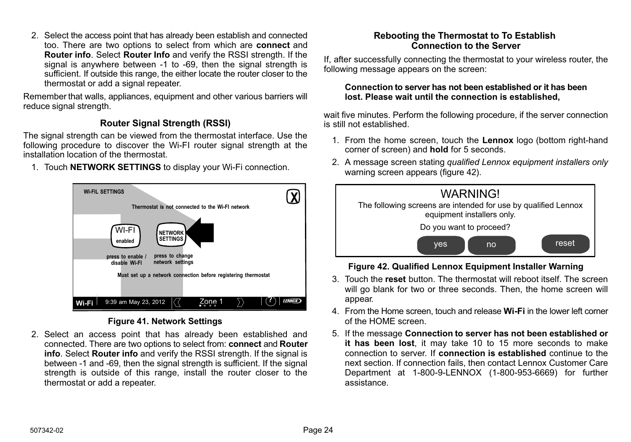2. Select the access point that has already been establish and connected too. There are two options to select from which are **connect** and **Router info**. Select **Router Info** and verify the RSSI strength. If the signal is anywhere between -1 to -69, then the signal strength is sufficient. If outside this range, the either locate the router closer to the thermostat or add a signal repeater.

Remember that walls, appliances, equipment and other various barriers will reduce signal strength.

# **Router Signal Strength (RSSI)**

The signal strength can be viewed from the thermostat interface. Use the following procedure to discover the Wi-FI router signal strength at the installation location of the thermostat.

1. Touch **NETWORK SETTINGS** to display your Wi-Fi connection.



#### **Figure 41. Network Settings**

2. Select an access point that has already been established and connected. There are two options to select from: **connect** and **Router info**. Select **Router info** and verify the RSSI strength. If the signal is between -1 and -69, then the signal strength is sufficient. If the signal strength is outside of this range, install the router closer to the thermostat or add a repeater.

## **Rebooting the Thermostat to To Establish Connection to the Server**

If, after successfully connecting the thermostat to your wireless router, the following message appears on the screen:

#### **Connection to server has not been established or it has been lost. Please wait until the connection is established,**

wait five minutes. Perform the following procedure, if the server connection is still not established.

- 1. From the home screen, touch the **Lennox** logo (bottom right-hand corner of screen) and **hold** for 5 seconds.
- 2. A message screen stating *qualified Lennox equipment installers only* warning screen appears (figure 42).



## **Figure 42. Qualified Lennox Equipment Installer Warning**

- 3. Touch the **reset** button. The thermostat will reboot itself. The screen will go blank for two or three seconds. Then, the home screen will appear.
- 4. From the Home screen, touch and release **Wi-Fi** in the lower left corner of the HOME screen.
- 5. If the message **Connection to server has not been established or it has been lost**, it may take 10 to 15 more seconds to make connection to server. If **connection is established** continue to the next section. If connection fails, then contact Lennox Customer Care Department at 1-800-9-LENNOX (1-800-953-6669) for further assistance.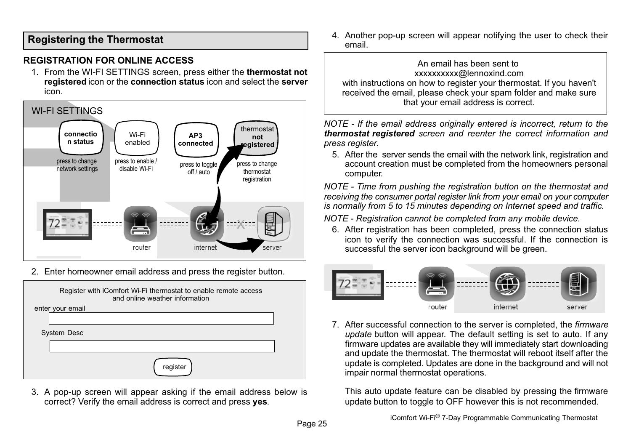# <span id="page-24-0"></span>**Registering the Thermostat**

#### **REGISTRATION FOR ONLINE ACCESS**

1. From the WI-FI SETTINGS screen, press either the **thermostat not registered** icon or the **connection status** icon and select the **server** icon.



2. Enter homeowner email address and press the register button.

| Register with iComfort Wi-Fi thermostat to enable remote access<br>and online weather information |  |
|---------------------------------------------------------------------------------------------------|--|
| enter your email                                                                                  |  |
|                                                                                                   |  |
| <b>System Desc</b>                                                                                |  |
|                                                                                                   |  |
| register                                                                                          |  |

3. A pop-up screen will appear asking if the email address below is correct? Verify the email address is correct and press **yes**.

4. Another pop-up screen will appear notifying the user to check their email.

An email has been sent to xxxxxxxxxx@lennoxind.com with instructions on how to register your thermostat. If you haven't received the email, please check your spam folder and make sure that your email address is correct.

*NOTE - If the email address originally entered is incorrect, return to the thermostat registered screen and reenter the correct information and press register.*

5. After the server sends the email with the network link, registration and account creation must be completed from the homeowners personal computer.

*NOTE - Time from pushing the registration button on the thermostat and receiving the consumer portal register link from your email on your computer is normally from 5 to 15 minutes depending on Internet speed and traffic.*

*NOTE - Registration cannot be completed from any mobile device.*

6. After registration has been completed, press the connection status icon to verify the connection was successful. If the connection is successful the server icon background will be green.



7. After successful connection to the server is completed, the *firmware update* button will appear. The default setting is set to auto. If any firmware updates are available they will immediately start downloading and update the thermostat. The thermostat will reboot itself after the update is completed. Updates are done in the background and will not impair normal thermostat operations.

This auto update feature can be disabled by pressing the firmware update button to toggle to OFF however this is not recommended.